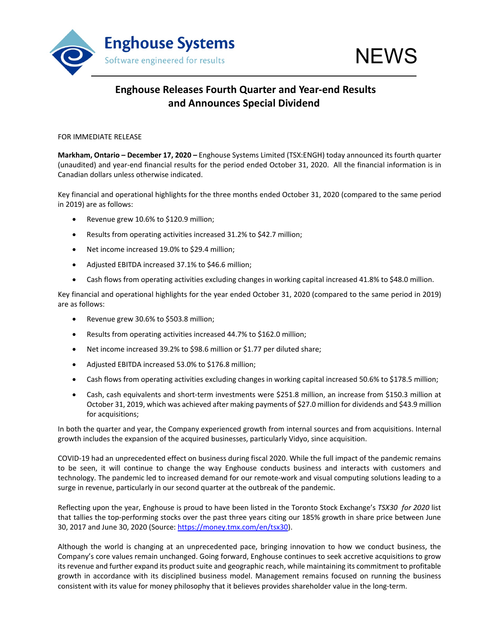

## **Enghouse Releases Fourth Quarter and Year-end Results and Announces Special Dividend**

### FOR IMMEDIATE RELEASE

**Markham, Ontario – December 17, 2020 –** Enghouse Systems Limited (TSX:ENGH) today announced its fourth quarter (unaudited) and year-end financial results for the period ended October 31, 2020. All the financial information is in Canadian dollars unless otherwise indicated.

Key financial and operational highlights for the three months ended October 31, 2020 (compared to the same period in 2019) are as follows:

- Revenue grew 10.6% to \$120.9 million;
- Results from operating activities increased 31.2% to \$42.7 million;
- Net income increased 19.0% to \$29.4 million;
- Adjusted EBITDA increased 37.1% to \$46.6 million;
- Cash flows from operating activities excluding changes in working capital increased 41.8% to \$48.0 million.

Key financial and operational highlights for the year ended October 31, 2020 (compared to the same period in 2019) are as follows:

- Revenue grew 30.6% to \$503.8 million;
- Results from operating activities increased 44.7% to \$162.0 million;
- Net income increased 39.2% to \$98.6 million or \$1.77 per diluted share;
- Adjusted EBITDA increased 53.0% to \$176.8 million;
- Cash flows from operating activities excluding changes in working capital increased 50.6% to \$178.5 million;
- Cash, cash equivalents and short-term investments were \$251.8 million, an increase from \$150.3 million at October 31, 2019, which was achieved after making payments of \$27.0 million for dividends and \$43.9 million for acquisitions;

In both the quarter and year, the Company experienced growth from internal sources and from acquisitions. Internal growth includes the expansion of the acquired businesses, particularly Vidyo, since acquisition.

COVID-19 had an unprecedented effect on business during fiscal 2020. While the full impact of the pandemic remains to be seen, it will continue to change the way Enghouse conducts business and interacts with customers and technology. The pandemic led to increased demand for our remote-work and visual computing solutions leading to a surge in revenue, particularly in our second quarter at the outbreak of the pandemic.

Reflecting upon the year, Enghouse is proud to have been listed in the Toronto Stock Exchange's *TSX30 for 2020* list that tallies the top-performing stocks over the past three years citing our 185% growth in share price between June 30, 2017 and June 30, 2020 (Source: [https://money.tmx.com/en/tsx30\)](https://money.tmx.com/en/tsx30).

Although the world is changing at an unprecedented pace, bringing innovation to how we conduct business, the Company's core values remain unchanged. Going forward, Enghouse continues to seek accretive acquisitions to grow its revenue and further expand its product suite and geographic reach, while maintaining its commitment to profitable growth in accordance with its disciplined business model. Management remains focused on running the business consistent with its value for money philosophy that it believes provides shareholder value in the long-term.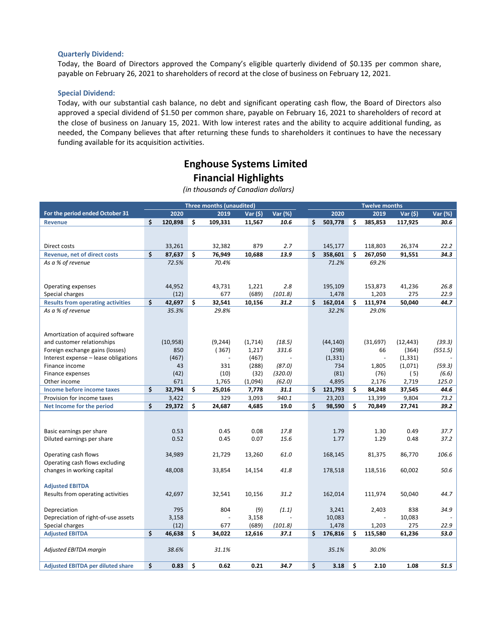### **Quarterly Dividend:**

Today, the Board of Directors approved the Company's eligible quarterly dividend of \$0.135 per common share, payable on February 26, 2021 to shareholders of record at the close of business on February 12, 2021.

### **Special Dividend:**

Today, with our substantial cash balance, no debt and significant operating cash flow, the Board of Directors also approved a special dividend of \$1.50 per common share, payable on February 16, 2021 to shareholders of record at the close of business on January 15, 2021. With low interest rates and the ability to acquire additional funding, as needed, the Company believes that after returning these funds to shareholders it continues to have the necessary funding available for its acquisition activities.

## **Enghouse Systems Limited Financial Highlights**

| <b>Three months (unaudited)</b>                        |    |           |    |          |          |         |               |     | <b>Twelve months</b> |           |         |
|--------------------------------------------------------|----|-----------|----|----------|----------|---------|---------------|-----|----------------------|-----------|---------|
| For the period ended October 31                        |    | 2020      |    | 2019     | Var (\$) | Var (%) | 2020          |     | 2019                 | Var (\$)  | Var (%) |
| <b>Revenue</b>                                         | \$ | 120,898   | Ś. | 109,331  | 11,567   | 10.6    | \$<br>503,778 | Ś   | 385,853              | 117,925   | 30.6    |
|                                                        |    |           |    |          |          |         |               |     |                      |           |         |
|                                                        |    |           |    |          |          |         |               |     |                      |           |         |
| Direct costs                                           |    | 33,261    |    | 32,382   | 879      | 2.7     | 145,177       |     | 118,803              | 26,374    | 22.2    |
| Revenue, net of direct costs                           | \$ | 87,637    | \$ | 76,949   | 10,688   | 13.9    | \$<br>358,601 | \$  | 267,050              | 91,551    | 34.3    |
| As a % of revenue                                      |    | 72.5%     |    | 70.4%    |          |         | 71.2%         |     | 69.2%                |           |         |
|                                                        |    |           |    |          |          |         |               |     |                      |           |         |
|                                                        |    |           |    |          |          |         |               |     |                      |           |         |
| Operating expenses                                     |    | 44,952    |    | 43,731   | 1,221    | 2.8     | 195,109       |     | 153,873              | 41,236    | 26.8    |
| Special charges                                        |    | (12)      |    | 677      | (689)    | (101.8) | 1,478         |     | 1,203                | 275       | 22.9    |
| <b>Results from operating activities</b>               | \$ | 42,697    | \$ | 32,541   | 10,156   | 31.2    | \$<br>162,014 | Ś   | 111,974              | 50,040    | 44.7    |
| As a % of revenue                                      |    | 35.3%     |    | 29.8%    |          |         | 32.2%         |     | 29.0%                |           |         |
|                                                        |    |           |    |          |          |         |               |     |                      |           |         |
|                                                        |    |           |    |          |          |         |               |     |                      |           |         |
| Amortization of acquired software                      |    |           |    |          |          |         |               |     |                      |           |         |
| and customer relationships                             |    | (10, 958) |    | (9, 244) | (1,714)  | (18.5)  | (44, 140)     |     | (31, 697)            | (12, 443) | (39.3)  |
| Foreign exchange gains (losses)                        |    | 850       |    | (367)    | 1,217    | 331.6   | (298)         |     | 66                   | (364)     | (551.5) |
| Interest expense - lease obligations                   |    | (467)     |    |          | (467)    |         | (1, 331)      |     |                      | (1, 331)  |         |
| Finance income                                         |    | 43        |    | 331      | (288)    | (87.0)  | 734           |     | 1,805                | (1,071)   | (59.3)  |
| Finance expenses                                       |    | (42)      |    | (10)     | (32)     | (320.0) | (81)          |     | (76)                 | (5)       | (6.6)   |
| Other income                                           |    | 671       |    | 1,765    | (1,094)  | (62.0)  | 4,895         |     | 2,176                | 2,719     | 125.0   |
| Income before income taxes                             | \$ | 32,794    | \$ | 25,016   | 7,778    | 31.1    | \$<br>121,793 | \$  | 84,248               | 37,545    | 44.6    |
| Provision for income taxes                             | \$ | 3,422     |    | 329      | 3,093    | 940.1   | 23,203        |     | 13,399               | 9,804     | 73.2    |
| Net Income for the period                              |    | 29,372    | \$ | 24,687   | 4,685    | 19.0    | \$<br>98,590  | \$  | 70,849               | 27,741    | 39.2    |
|                                                        |    |           |    |          |          |         |               |     |                      |           |         |
|                                                        |    | 0.53      |    | 0.45     | 0.08     | 17.8    | 1.79          |     | 1.30                 | 0.49      | 37.7    |
| Basic earnings per share<br>Diluted earnings per share |    | 0.52      |    | 0.45     | 0.07     | 15.6    | 1.77          |     | 1.29                 | 0.48      | 37.2    |
|                                                        |    |           |    |          |          |         |               |     |                      |           |         |
| Operating cash flows                                   |    | 34,989    |    | 21,729   | 13,260   | 61.0    | 168,145       |     | 81,375               | 86,770    | 106.6   |
| Operating cash flows excluding                         |    |           |    |          |          |         |               |     |                      |           |         |
| changes in working capital                             |    | 48,008    |    | 33,854   | 14,154   | 41.8    | 178,518       |     | 118,516              | 60,002    | 50.6    |
|                                                        |    |           |    |          |          |         |               |     |                      |           |         |
| <b>Adjusted EBITDA</b>                                 |    |           |    |          |          |         |               |     |                      |           |         |
| Results from operating activities                      |    | 42,697    |    | 32,541   | 10,156   | 31.2    | 162,014       |     | 111,974              | 50,040    | 44.7    |
|                                                        |    |           |    |          |          |         |               |     |                      |           |         |
| Depreciation                                           |    | 795       |    | 804      | (9)      | (1.1)   | 3,241         |     | 2,403                | 838       | 34.9    |
| Depreciation of right-of-use assets                    |    | 3,158     |    |          | 3,158    |         | 10,083        |     |                      | 10,083    |         |
| Special charges                                        |    | (12)      |    | 677      | (689)    | (101.8) | 1,478         |     | 1,203                | 275       | 22.9    |
| <b>Adjusted EBITDA</b>                                 | \$ | 46,638    | \$ | 34,022   | 12,616   | 37.1    | \$<br>176,816 | \$. | 115,580              | 61,236    | 53.0    |
|                                                        |    |           |    |          |          |         |               |     |                      |           |         |
| Adjusted EBITDA margin                                 |    | 38.6%     |    | 31.1%    |          |         | 35.1%         |     | 30.0%                |           |         |
|                                                        |    |           |    |          |          |         |               |     |                      |           |         |
| <b>Adjusted EBITDA per diluted share</b>               | \$ | 0.83      | \$ | 0.62     | 0.21     | 34.7    | \$<br>3.18    | Ś   | 2.10                 | 1.08      | 51.5    |

*(in thousands of Canadian dollars)*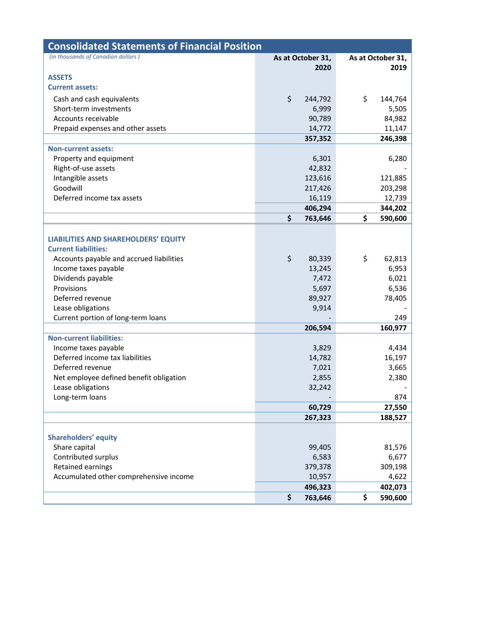| <b>Consolidated Statements of Financial Position</b> |                   |                   |
|------------------------------------------------------|-------------------|-------------------|
| (in thousands of Canadian dollars)                   | As at October 31, | As at October 31, |
|                                                      | 2020              | 2019              |
| <b>ASSETS</b>                                        |                   |                   |
| <b>Current assets:</b>                               |                   |                   |
| Cash and cash equivalents                            | \$<br>244,792     | \$<br>144,764     |
| Short-term investments                               | 6,999             | 5,505             |
| Accounts receivable                                  | 90,789            | 84,982            |
| Prepaid expenses and other assets                    | 14,772            | 11,147            |
|                                                      | 357,352           | 246,398           |
| <b>Non-current assets:</b>                           |                   |                   |
| Property and equipment                               | 6,301             | 6,280             |
| Right-of-use assets                                  | 42,832            |                   |
| Intangible assets                                    | 123,616           | 121,885           |
| Goodwill<br>Deferred income tax assets               | 217,426           | 203,298           |
|                                                      | 16,119<br>406,294 | 12,739<br>344,202 |
|                                                      | \$<br>763,646     | \$<br>590,600     |
|                                                      |                   |                   |
| <b>LIABILITIES AND SHAREHOLDERS' EQUITY</b>          |                   |                   |
| <b>Current liabilities:</b>                          |                   |                   |
| Accounts payable and accrued liabilities             | \$<br>80,339      | \$<br>62,813      |
| Income taxes payable                                 | 13,245            | 6,953             |
| Dividends payable                                    | 7,472             | 6,021             |
| Provisions                                           | 5,697             | 6,536             |
| Deferred revenue                                     | 89,927            | 78,405            |
| Lease obligations                                    | 9,914             |                   |
| Current portion of long-term loans                   |                   | 249               |
|                                                      | 206,594           | 160,977           |
| <b>Non-current liabilities:</b>                      |                   |                   |
| Income taxes payable                                 | 3,829             | 4,434             |
| Deferred income tax liabilities                      | 14,782            | 16,197            |
| Deferred revenue                                     | 7,021             | 3,665             |
| Net employee defined benefit obligation              | 2,855             | 2,380             |
| Lease obligations                                    | 32,242            |                   |
| Long-term loans                                      |                   | 874               |
|                                                      | 60,729            | 27,550            |
|                                                      | 267,323           | 188,527           |
|                                                      |                   |                   |
| <b>Shareholders' equity</b>                          |                   |                   |
| Share capital                                        | 99,405            | 81,576            |
| Contributed surplus                                  | 6,583             | 6,677             |
| Retained earnings                                    | 379,378           | 309,198           |
| Accumulated other comprehensive income               | 10,957            | 4,622             |
|                                                      | 496,323           | 402,073           |
|                                                      | \$<br>763,646     | \$<br>590,600     |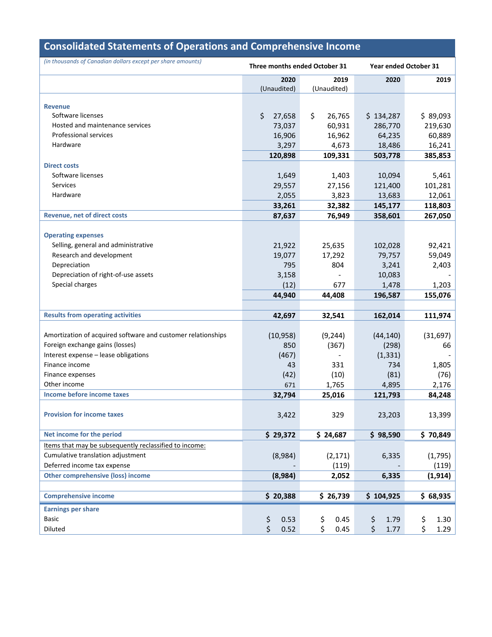| <b>Consolidated Statements of Operations and Comprehensive Income</b> |                               |              |                       |            |  |  |  |  |  |
|-----------------------------------------------------------------------|-------------------------------|--------------|-----------------------|------------|--|--|--|--|--|
| (in thousands of Canadian dollars except per share amounts)           | Three months ended October 31 |              | Year ended October 31 |            |  |  |  |  |  |
|                                                                       | 2020                          | 2019         | 2020                  | 2019       |  |  |  |  |  |
|                                                                       | (Unaudited)                   | (Unaudited)  |                       |            |  |  |  |  |  |
| <b>Revenue</b>                                                        |                               |              |                       |            |  |  |  |  |  |
| Software licenses                                                     | \$<br>27,658                  | \$<br>26,765 | \$134,287             | \$89,093   |  |  |  |  |  |
| Hosted and maintenance services                                       | 73,037                        | 60,931       | 286,770               | 219,630    |  |  |  |  |  |
| Professional services                                                 | 16,906                        | 16,962       | 64,235                | 60,889     |  |  |  |  |  |
| Hardware                                                              | 3,297                         | 4,673        | 18,486                | 16,241     |  |  |  |  |  |
|                                                                       | 120,898                       | 109,331      | 503,778               | 385,853    |  |  |  |  |  |
| <b>Direct costs</b>                                                   |                               |              |                       |            |  |  |  |  |  |
| Software licenses                                                     | 1,649                         | 1,403        | 10,094                | 5,461      |  |  |  |  |  |
| Services                                                              | 29,557                        | 27,156       | 121,400               | 101,281    |  |  |  |  |  |
| Hardware                                                              | 2,055                         | 3,823        | 13,683                | 12,061     |  |  |  |  |  |
|                                                                       | 33,261                        | 32,382       | 145,177               | 118,803    |  |  |  |  |  |
| <b>Revenue, net of direct costs</b>                                   | 87,637                        | 76,949       | 358,601               | 267,050    |  |  |  |  |  |
|                                                                       |                               |              |                       |            |  |  |  |  |  |
| <b>Operating expenses</b>                                             |                               |              |                       |            |  |  |  |  |  |
| Selling, general and administrative                                   | 21,922                        | 25,635       | 102,028               | 92,421     |  |  |  |  |  |
| Research and development                                              | 19,077                        | 17,292       | 79,757                | 59,049     |  |  |  |  |  |
| Depreciation                                                          | 795                           | 804          | 3,241                 | 2,403      |  |  |  |  |  |
| Depreciation of right-of-use assets                                   | 3,158                         |              | 10,083                |            |  |  |  |  |  |
| Special charges                                                       | (12)                          | 677          | 1,478                 | 1,203      |  |  |  |  |  |
|                                                                       | 44,940                        | 44,408       | 196,587               | 155,076    |  |  |  |  |  |
|                                                                       |                               |              |                       |            |  |  |  |  |  |
| <b>Results from operating activities</b>                              | 42,697                        | 32,541       | 162,014               | 111,974    |  |  |  |  |  |
|                                                                       |                               |              |                       |            |  |  |  |  |  |
| Amortization of acquired software and customer relationships          | (10, 958)                     | (9, 244)     | (44, 140)             | (31, 697)  |  |  |  |  |  |
| Foreign exchange gains (losses)                                       | 850                           | (367)        | (298)                 | 66         |  |  |  |  |  |
| Interest expense - lease obligations                                  | (467)                         |              | (1, 331)              |            |  |  |  |  |  |
| Finance income                                                        | 43                            | 331          | 734                   | 1,805      |  |  |  |  |  |
| Finance expenses                                                      | (42)                          | (10)         | (81)                  | (76)       |  |  |  |  |  |
| Other income                                                          | 671                           | 1,765        | 4,895                 | 2,176      |  |  |  |  |  |
| Income before income taxes                                            | 32,794                        | 25,016       | 121,793               | 84,248     |  |  |  |  |  |
|                                                                       |                               |              |                       |            |  |  |  |  |  |
| <b>Provision for income taxes</b>                                     | 3,422                         | 329          | 23,203                | 13,399     |  |  |  |  |  |
|                                                                       |                               |              |                       |            |  |  |  |  |  |
| Net income for the period                                             | \$29,372                      | \$24,687     | \$98,590              | \$70,849   |  |  |  |  |  |
| Items that may be subsequently reclassified to income:                |                               |              |                       |            |  |  |  |  |  |
| Cumulative translation adjustment                                     | (8,984)                       | (2, 171)     | 6,335                 | (1,795)    |  |  |  |  |  |
| Deferred income tax expense                                           |                               | (119)        |                       | (119)      |  |  |  |  |  |
| <b>Other comprehensive (loss) income</b>                              | (8,984)                       | 2,052        | 6,335                 | (1, 914)   |  |  |  |  |  |
|                                                                       |                               |              |                       |            |  |  |  |  |  |
| <b>Comprehensive income</b>                                           | \$20,388                      | \$26,739     | \$104,925             | \$68,935   |  |  |  |  |  |
| <b>Earnings per share</b>                                             |                               |              |                       |            |  |  |  |  |  |
| <b>Basic</b>                                                          | \$<br>0.53                    | \$<br>0.45   | \$<br>1.79            | \$<br>1.30 |  |  |  |  |  |
| Diluted                                                               | \$<br>0.52                    | \$<br>0.45   | \$<br>1.77            | \$<br>1.29 |  |  |  |  |  |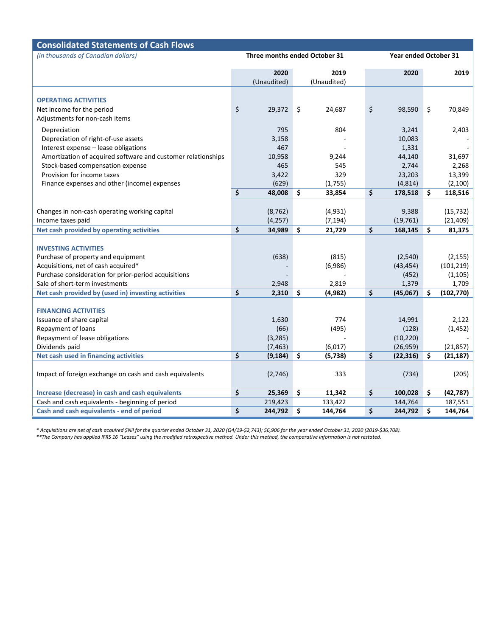| <b>Consolidated Statements of Cash Flows</b>                 |    |                               |    |                     |    |                              |    |                        |  |  |
|--------------------------------------------------------------|----|-------------------------------|----|---------------------|----|------------------------------|----|------------------------|--|--|
| (in thousands of Canadian dollars)                           |    | Three months ended October 31 |    |                     |    | <b>Year ended October 31</b> |    |                        |  |  |
|                                                              |    | 2020                          |    | 2019                |    | 2020                         |    | 2019                   |  |  |
|                                                              |    | (Unaudited)                   |    | (Unaudited)         |    |                              |    |                        |  |  |
|                                                              |    |                               |    |                     |    |                              |    |                        |  |  |
| <b>OPERATING ACTIVITIES</b>                                  |    |                               |    |                     |    |                              |    |                        |  |  |
| Net income for the period                                    | \$ | 29,372                        | \$ | 24,687              | \$ | 98,590                       | \$ | 70,849                 |  |  |
| Adjustments for non-cash items                               |    |                               |    |                     |    |                              |    |                        |  |  |
| Depreciation                                                 |    | 795                           |    | 804                 |    | 3,241                        |    | 2,403                  |  |  |
| Depreciation of right-of-use assets                          |    | 3,158                         |    |                     |    | 10,083                       |    |                        |  |  |
| Interest expense - lease obligations                         |    | 467                           |    |                     |    | 1,331                        |    |                        |  |  |
| Amortization of acquired software and customer relationships |    | 10,958                        |    | 9,244               |    | 44,140                       |    | 31,697                 |  |  |
| Stock-based compensation expense                             |    | 465                           |    | 545                 |    | 2,744                        |    | 2,268                  |  |  |
| Provision for income taxes                                   |    | 3,422                         |    | 329                 |    | 23,203                       |    | 13,399                 |  |  |
| Finance expenses and other (income) expenses                 |    | (629)                         |    | (1,755)             |    | (4, 814)                     |    | (2,100)                |  |  |
|                                                              | \$ | 48,008                        | \$ | 33,854              | \$ | 178,518                      | \$ | 118,516                |  |  |
|                                                              |    |                               |    |                     |    |                              |    |                        |  |  |
| Changes in non-cash operating working capital                |    | (8, 762)                      |    | (4, 931)            |    | 9,388                        |    | (15, 732)              |  |  |
| Income taxes paid                                            |    | (4, 257)                      |    | (7, 194)            |    | (19, 761)                    |    | (21, 409)              |  |  |
| Net cash provided by operating activities                    | \$ | 34,989                        | \$ | 21,729              | \$ | 168,145                      | \$ | 81,375                 |  |  |
|                                                              |    |                               |    |                     |    |                              |    |                        |  |  |
| <b>INVESTING ACTIVITIES</b>                                  |    |                               |    |                     |    |                              |    |                        |  |  |
| Purchase of property and equipment                           |    | (638)                         |    | (815)               |    | (2,540)                      |    | (2, 155)               |  |  |
| Acquisitions, net of cash acquired*                          |    |                               |    | (6,986)             |    | (43, 454)                    |    | (101, 219)             |  |  |
| Purchase consideration for prior-period acquisitions         |    |                               |    |                     |    | (452)                        |    | (1, 105)               |  |  |
| Sale of short-term investments                               |    | 2,948                         |    | 2,819               |    | 1,379                        |    | 1,709                  |  |  |
| Net cash provided by (used in) investing activities          | \$ | 2,310                         | \$ | (4, 982)            | \$ | (45,067)                     | \$ | (102, 770)             |  |  |
|                                                              |    |                               |    |                     |    |                              |    |                        |  |  |
| <b>FINANCING ACTIVITIES</b>                                  |    |                               |    | 774                 |    |                              |    |                        |  |  |
| Issuance of share capital                                    |    | 1,630                         |    | (495)               |    | 14,991                       |    | 2,122<br>(1, 452)      |  |  |
| Repayment of loans                                           |    | (66)                          |    |                     |    | (128)                        |    |                        |  |  |
| Repayment of lease obligations                               |    | (3, 285)                      |    |                     |    | (10, 220)                    |    |                        |  |  |
| Dividends paid<br>Net cash used in financing activities      | \$ | (7, 463)<br>(9, 184)          | \$ | (6,017)<br>(5, 738) | \$ | (26, 959)<br>(22, 316)       | \$ | (21, 857)<br>(21, 187) |  |  |
|                                                              |    |                               |    |                     |    |                              |    |                        |  |  |
| Impact of foreign exchange on cash and cash equivalents      |    | (2,746)                       |    | 333                 |    | (734)                        |    | (205)                  |  |  |
|                                                              |    |                               |    |                     |    |                              |    |                        |  |  |
| Increase (decrease) in cash and cash equivalents             | \$ | 25,369                        | \$ | 11,342              | \$ | 100,028                      | \$ | (42, 787)              |  |  |
| Cash and cash equivalents - beginning of period              |    | 219,423                       |    | 133,422             |    | 144,764                      |    | 187,551                |  |  |
| Cash and cash equivalents - end of period                    | \$ | 244,792                       | \$ | 144,764             | \$ | 244,792                      | \$ | 144,764                |  |  |

*\* Acquisitions are net of cash acquired \$Nil for the quarter ended October 31, 2020 (Q4/19-\$2,743); \$6,906 for the year ended October 31, 2020 (2019-\$36,708). \*\*The Company has applied IFRS 16 "Leases" using the modified retrospective method. Under this method, the comparative information is not restated.*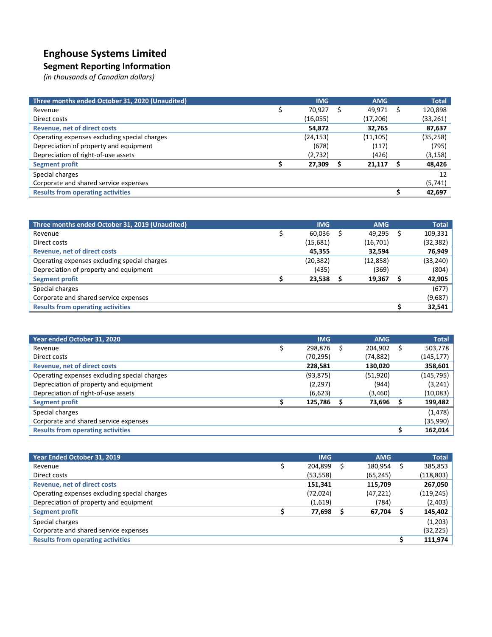# **Enghouse Systems Limited**

### **Segment Reporting Information**

*(in thousands of Canadian dollars)*

| Three months ended October 31, 2020 (Unaudited) | <b>IMG</b> | <b>AMG</b> | <b>Total</b> |
|-------------------------------------------------|------------|------------|--------------|
| Revenue                                         | 70,927     | 49,971     | 120,898      |
| Direct costs                                    | (16,055)   | (17,206)   | (33, 261)    |
| <b>Revenue, net of direct costs</b>             | 54,872     | 32,765     | 87,637       |
| Operating expenses excluding special charges    | (24, 153)  | (11, 105)  | (35, 258)    |
| Depreciation of property and equipment          | (678)      | (117)      | (795)        |
| Depreciation of right-of-use assets             | (2,732)    | (426)      | (3, 158)     |
| Segment profit                                  | 27,309     | 21,117     | 48,426       |
| Special charges                                 |            |            | 12           |
| Corporate and shared service expenses           |            |            | (5, 741)     |
| <b>Results from operating activities</b>        |            |            | 42,697       |

| Three months ended October 31, 2019 (Unaudited) | <b>IMG</b> | <b>AMG</b> | <b>Total</b> |
|-------------------------------------------------|------------|------------|--------------|
| Revenue                                         | 60,036     | 49,295     | 109,331      |
| Direct costs                                    | (15,681)   | (16, 701)  | (32, 382)    |
| Revenue, net of direct costs                    | 45,355     | 32,594     | 76,949       |
| Operating expenses excluding special charges    | (20, 382)  | (12, 858)  | (33, 240)    |
| Depreciation of property and equipment          | (435)      | (369)      | (804)        |
| Segment profit                                  | 23,538     | 19,367     | 42,905       |
| Special charges                                 |            |            | (677)        |
| Corporate and shared service expenses           |            |            | (9,687)      |
| <b>Results from operating activities</b>        |            |            | 32,541       |

| Year ended October 31, 2020                  | <b>IMG</b> | <b>AMG</b> | <b>Total</b> |
|----------------------------------------------|------------|------------|--------------|
| Revenue                                      | 298,876    | 204,902    | 503,778      |
| Direct costs                                 | (70,295)   | (74,882)   | (145, 177)   |
| <b>Revenue, net of direct costs</b>          | 228,581    | 130,020    | 358,601      |
| Operating expenses excluding special charges | (93, 875)  | (51, 920)  | (145, 795)   |
| Depreciation of property and equipment       | (2, 297)   | (944)      | (3,241)      |
| Depreciation of right-of-use assets          | (6,623)    | (3,460)    | (10,083)     |
| Segment profit                               | 125,786    | 73,696     | 199,482      |
| Special charges                              |            |            | (1, 478)     |
| Corporate and shared service expenses        |            |            | (35,990)     |
| <b>Results from operating activities</b>     |            |            | 162,014      |

| Year Ended October 31, 2019                  | <b>IMG</b> | <b>AMG</b> |   | <b>Total</b> |
|----------------------------------------------|------------|------------|---|--------------|
| Revenue                                      | 204,899    | 180,954    | S | 385,853      |
| Direct costs                                 | (53, 558)  | (65, 245)  |   | (118, 803)   |
| <b>Revenue, net of direct costs</b>          | 151,341    | 115,709    |   | 267,050      |
| Operating expenses excluding special charges | (72, 024)  | (47, 221)  |   | (119, 245)   |
| Depreciation of property and equipment       | (1,619)    | (784)      |   | (2,403)      |
| <b>Segment profit</b>                        | 77,698     | 67,704     |   | 145,402      |
| Special charges                              |            |            |   | (1,203)      |
| Corporate and shared service expenses        |            |            |   | (32, 225)    |
| <b>Results from operating activities</b>     |            |            |   | 111,974      |